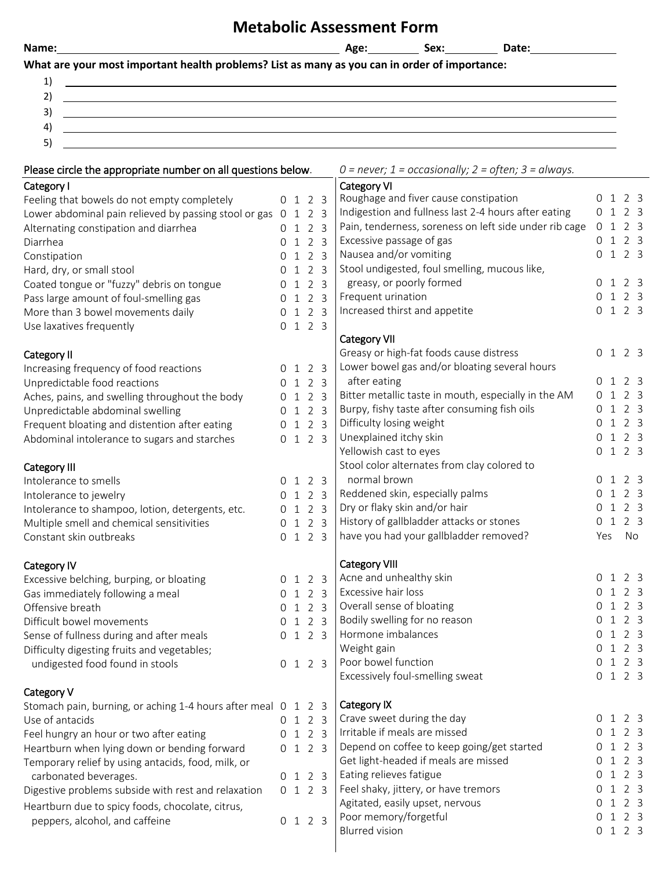## **Metabolic Assessment Form**

| ٠ |  |  |
|---|--|--|
| - |  |  |
|   |  |  |

## **What are your most important health problems? List as many as you can in order of importance:**

| -         |  |
|-----------|--|
|           |  |
| ₹<br>مستو |  |
| 4         |  |
| ⊾<br>ັ    |  |

| Please circle the appropriate number on all questions below.  |  |         | $0$ = never; 1 = occasionally; 2 = often; 3 = always. |             |                                                        |                |                 |                |  |
|---------------------------------------------------------------|--|---------|-------------------------------------------------------|-------------|--------------------------------------------------------|----------------|-----------------|----------------|--|
| Category I                                                    |  |         |                                                       | Category VI |                                                        |                |                 |                |  |
| Feeling that bowels do not empty completely                   |  | 0 1 2 3 |                                                       |             | Roughage and fiver cause constipation                  | 0 1 2 3        |                 |                |  |
| Lower abdominal pain relieved by passing stool or gas         |  | 0 1 2 3 |                                                       |             | Indigestion and fullness last 2-4 hours after eating   | 0 1 2 3        |                 |                |  |
| Alternating constipation and diarrhea                         |  | 0 1 2 3 |                                                       |             | Pain, tenderness, soreness on left side under rib cage | 0 <sub>1</sub> |                 | 2 <sub>3</sub> |  |
| Diarrhea                                                      |  | 0 1 2 3 |                                                       |             | Excessive passage of gas                               | 0 1 2 3        |                 |                |  |
| Constipation                                                  |  | 0 1 2 3 |                                                       |             | Nausea and/or vomiting                                 | 0 1 2 3        |                 |                |  |
| Hard, dry, or small stool                                     |  | 0 1 2 3 |                                                       |             | Stool undigested, foul smelling, mucous like,          |                |                 |                |  |
| Coated tongue or "fuzzy" debris on tongue                     |  | 0 1 2 3 |                                                       |             | greasy, or poorly formed                               | 0 1 2 3        |                 |                |  |
| Pass large amount of foul-smelling gas                        |  | 0 1 2 3 |                                                       |             | Frequent urination                                     | 0 1 2 3        |                 |                |  |
| More than 3 bowel movements daily                             |  | 0 1 2 3 |                                                       |             | Increased thirst and appetite                          | 0 1 2 3        |                 |                |  |
| Use laxatives frequently                                      |  | 0 1 2 3 |                                                       |             |                                                        |                |                 |                |  |
|                                                               |  |         |                                                       |             | Category VII                                           |                |                 |                |  |
| Category II                                                   |  |         |                                                       |             | Greasy or high-fat foods cause distress                | 0 1 2 3        |                 |                |  |
| Increasing frequency of food reactions                        |  | 0 1 2 3 |                                                       |             | Lower bowel gas and/or bloating several hours          |                |                 |                |  |
| Unpredictable food reactions                                  |  | 0 1 2 3 |                                                       |             | after eating                                           | 0 1 2 3        |                 |                |  |
| Aches, pains, and swelling throughout the body                |  | 0 1 2 3 |                                                       |             | Bitter metallic taste in mouth, especially in the AM   | 0 1 2 3        |                 |                |  |
| Unpredictable abdominal swelling                              |  | 0 1 2 3 |                                                       |             | Burpy, fishy taste after consuming fish oils           | 0              | $\mathbf{1}$    | 2 <sub>3</sub> |  |
| Frequent bloating and distention after eating                 |  | 0 1 2 3 |                                                       |             | Difficulty losing weight                               | 0              | $\mathbf{1}$    | 2 <sup>3</sup> |  |
| Abdominal intolerance to sugars and starches                  |  | 0 1 2 3 |                                                       |             | Unexplained itchy skin                                 | 0              | 1               | 2 <sub>3</sub> |  |
|                                                               |  |         |                                                       |             | Yellowish cast to eyes                                 | 0 1 2 3        |                 |                |  |
| Category III                                                  |  |         |                                                       |             | Stool color alternates from clay colored to            |                |                 |                |  |
| Intolerance to smells                                         |  | 0 1 2 3 |                                                       |             | normal brown                                           | 0 1 2 3        |                 |                |  |
|                                                               |  | 0 1 2 3 |                                                       |             | Reddened skin, especially palms                        | 0              | $1\quad2\quad3$ |                |  |
| Intolerance to jewelry                                        |  | 0 1 2 3 |                                                       |             | Dry or flaky skin and/or hair                          | 0              | $1\quad2\quad3$ |                |  |
| Intolerance to shampoo, lotion, detergents, etc.              |  | 0 1 2 3 |                                                       |             | History of gallbladder attacks or stones               | 0              | 1               | 2 <sub>3</sub> |  |
| Multiple smell and chemical sensitivities                     |  |         |                                                       |             | have you had your gallbladder removed?                 | Yes            |                 | No             |  |
| Constant skin outbreaks                                       |  | 0 1 2 3 |                                                       |             |                                                        |                |                 |                |  |
| Category IV                                                   |  |         |                                                       |             | <b>Category VIII</b>                                   |                |                 |                |  |
| Excessive belching, burping, or bloating                      |  | 0 1 2 3 |                                                       |             | Acne and unhealthy skin                                | 0 1 2 3        |                 |                |  |
| Gas immediately following a meal                              |  | 0 1 2 3 |                                                       |             | Excessive hair loss                                    | 0 <sub>1</sub> |                 | 2 <sub>3</sub> |  |
| Offensive breath                                              |  | 0 1 2 3 |                                                       |             | Overall sense of bloating                              | 0              | $\mathbf{1}$    | 2 <sub>3</sub> |  |
| Difficult bowel movements                                     |  | 0 1 2 3 |                                                       |             | Bodily swelling for no reason                          | 0              | $\mathbf{1}$    | 2 <sub>3</sub> |  |
| Sense of fullness during and after meals                      |  | 0 1 2 3 |                                                       |             | Hormone imbalances                                     | 0              | 123             |                |  |
| Difficulty digesting fruits and vegetables;                   |  |         |                                                       |             | Weight gain                                            | 0 1 2 3        |                 |                |  |
| undigested food found in stools                               |  | 0 1 2 3 |                                                       |             | Poor bowel function                                    | 0 1 2 3        |                 |                |  |
|                                                               |  |         |                                                       |             | Excessively foul-smelling sweat                        | 0 1 2 3        |                 |                |  |
| Category V                                                    |  |         |                                                       |             |                                                        |                |                 |                |  |
| Stomach pain, burning, or aching 1-4 hours after meal 0 1 2 3 |  |         |                                                       |             | Category IX                                            |                |                 |                |  |
| Use of antacids                                               |  | 0 1 2 3 |                                                       |             | Crave sweet during the day                             | 0 1 2 3        |                 |                |  |
| Feel hungry an hour or two after eating                       |  | 0 1 2 3 |                                                       |             | Irritable if meals are missed                          | 0 1 2 3        |                 |                |  |
| Heartburn when lying down or bending forward                  |  | 0 1 2 3 |                                                       |             | Depend on coffee to keep going/get started             | 0              | 1               | 2 <sub>3</sub> |  |
| Temporary relief by using antacids, food, milk, or            |  |         |                                                       |             | Get light-headed if meals are missed                   | 0              | $1\quad2\quad3$ |                |  |
| carbonated beverages.                                         |  | 0 1 2 3 |                                                       |             | Eating relieves fatigue                                | 0 1 2 3        |                 |                |  |
| Digestive problems subside with rest and relaxation           |  | 0 1 2 3 |                                                       |             | Feel shaky, jittery, or have tremors                   | 0              | $1\quad2\quad3$ |                |  |
| Heartburn due to spicy foods, chocolate, citrus,              |  |         |                                                       |             | Agitated, easily upset, nervous                        | 0              | $1\quad2\quad3$ |                |  |
| peppers, alcohol, and caffeine                                |  | 0 1 2 3 |                                                       |             | Poor memory/forgetful                                  | 0 1 2 3        |                 |                |  |
|                                                               |  |         |                                                       |             | <b>Blurred vision</b>                                  | 0 1 2 3        |                 |                |  |
|                                                               |  |         |                                                       |             |                                                        |                |                 |                |  |

Name: Name: 2008 Name: 2008 Name: 2008 Name: 2008 Name: 2008 Name: 2008 Name: 2008 Name: 2008 Name: 2008 Name: 2008 Name: 2008 Name: 2008 Name: 2008 Name: 2008 Name: 2008 Name: 2008 Name: 2008 Name: 2008 Name: 2008 Name: 2